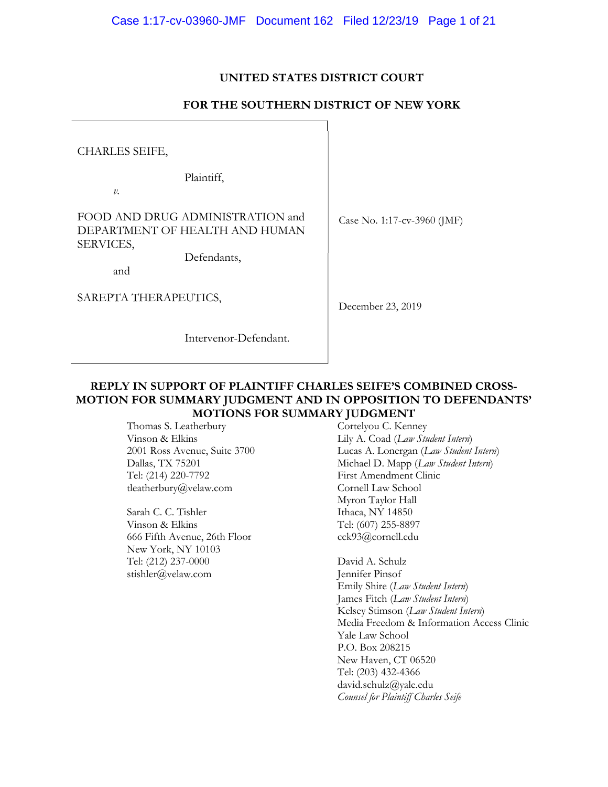## **UNITED STATES DISTRICT COURT**

## **FOR THE SOUTHERN DISTRICT OF NEW YORK**

CHARLES SEIFE,

Plaintiff,

*v.* 

FOOD AND DRUG ADMINISTRATION and DEPARTMENT OF HEALTH AND HUMAN SERVICES,

Defendants,

and

SAREPTA THERAPEUTICS,

Intervenor-Defendant.

Case No. 1:17-cv-3960 (JMF)

December 23, 2019

### **REPLY IN SUPPORT OF PLAINTIFF CHARLES SEIFE'S COMBINED CROSS-MOTION FOR SUMMARY JUDGMENT AND IN OPPOSITION TO DEFENDANTS' MOTIONS FOR SUMMARY JUDGMENT**

Thomas S. Leatherbury Vinson & Elkins 2001 Ross Avenue, Suite 3700 Dallas, TX 75201 Tel: (214) 220-7792 tleatherbury@velaw.com

Sarah C. C. Tishler Vinson & Elkins 666 Fifth Avenue, 26th Floor New York, NY 10103 Tel: (212) 237-0000 stishler@velaw.com

Cortelyou C. Kenney Lily A. Coad (*Law Student Intern*) Lucas A. Lonergan (*Law Student Intern*) Michael D. Mapp (*Law Student Intern*) First Amendment Clinic Cornell Law School Myron Taylor Hall Ithaca, NY 14850 Tel: (607) 255-8897 cck93@cornell.edu

David A. Schulz Jennifer Pinsof Emily Shire (*Law Student Intern*) James Fitch (*Law Student Intern*) Kelsey Stimson (*Law Student Intern*) Media Freedom & Information Access Clinic Yale Law School P.O. Box 208215 New Haven, CT 06520 Tel: (203) 432-4366 david.schulz@yale.edu *Counsel for Plaintiff Charles Seife*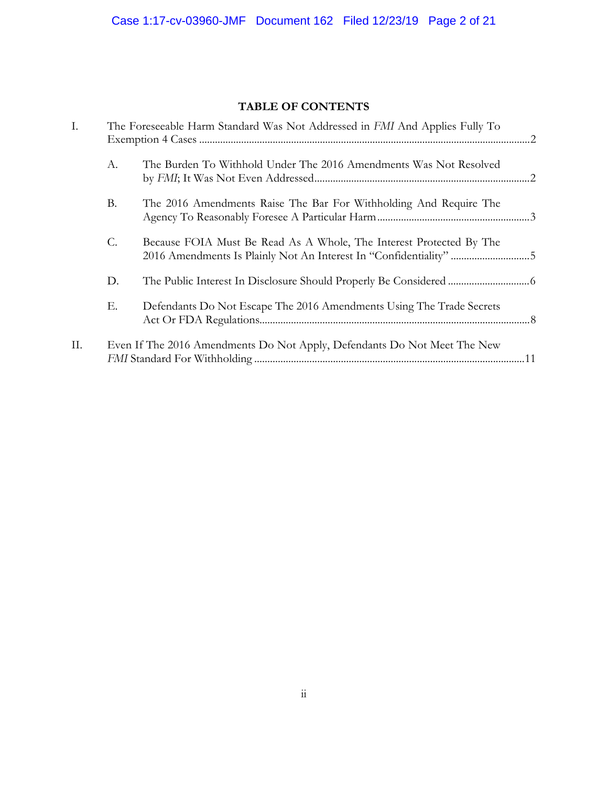## **TABLE OF CONTENTS**

| I.  | The Foreseeable Harm Standard Was Not Addressed in FMI And Applies Fully To |                                                                                                                                          |  |
|-----|-----------------------------------------------------------------------------|------------------------------------------------------------------------------------------------------------------------------------------|--|
|     | А.                                                                          | The Burden To Withhold Under The 2016 Amendments Was Not Resolved                                                                        |  |
|     | <b>B.</b>                                                                   | The 2016 Amendments Raise The Bar For Withholding And Require The                                                                        |  |
|     | C.                                                                          | Because FOIA Must Be Read As A Whole, The Interest Protected By The<br>2016 Amendments Is Plainly Not An Interest In "Confidentiality" 5 |  |
|     | D.                                                                          |                                                                                                                                          |  |
|     | Е.                                                                          | Defendants Do Not Escape The 2016 Amendments Using The Trade Secrets                                                                     |  |
| II. |                                                                             | Even If The 2016 Amendments Do Not Apply, Defendants Do Not Meet The New                                                                 |  |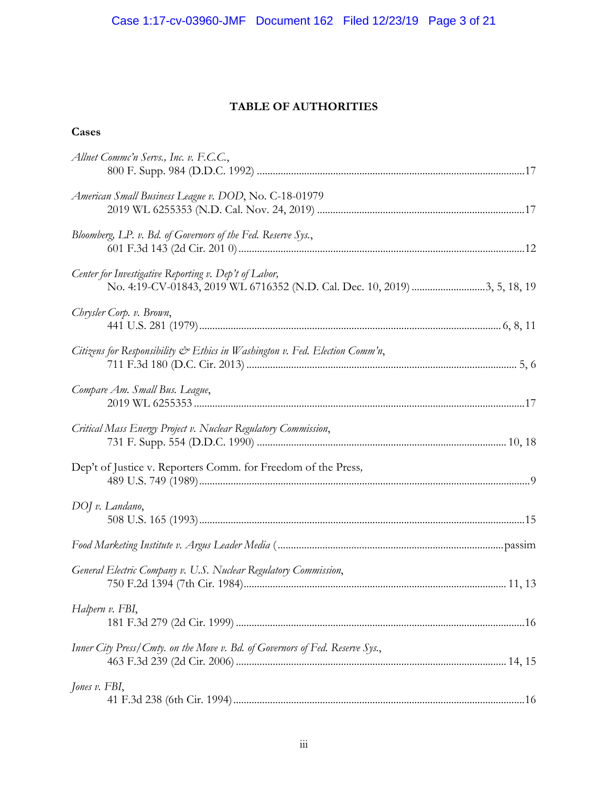## **TABLE OF AUTHORITIES**

## **Cases**

| Allnet Commc'n Servs., Inc. v. F.C.C.,                                       |  |
|------------------------------------------------------------------------------|--|
| American Small Business League v. DOD, No. C-18-01979                        |  |
| Bloomberg, LP. v. Bd. of Governors of the Fed. Reserve Sys.,                 |  |
| Center for Investigative Reporting v. Dep't of Labor,                        |  |
| Chrysler Corp. v. Brown,                                                     |  |
| Citizens for Responsibility & Ethics in Washington v. Fed. Election Comm'n,  |  |
| Compare Am. Small Bus. League,                                               |  |
| Critical Mass Energy Project v. Nuclear Regulatory Commission,               |  |
| Dep't of Justice v. Reporters Comm. for Freedom of the Press,                |  |
| DOJ v. Landano,                                                              |  |
|                                                                              |  |
| General Electric Company v. U.S. Nuclear Regulatory Commission,              |  |
| Halpern v. FBI,                                                              |  |
| Inner City Press/Cmty. on the Move v. Bd. of Governors of Fed. Reserve Sys., |  |
| Jones v. FBI,                                                                |  |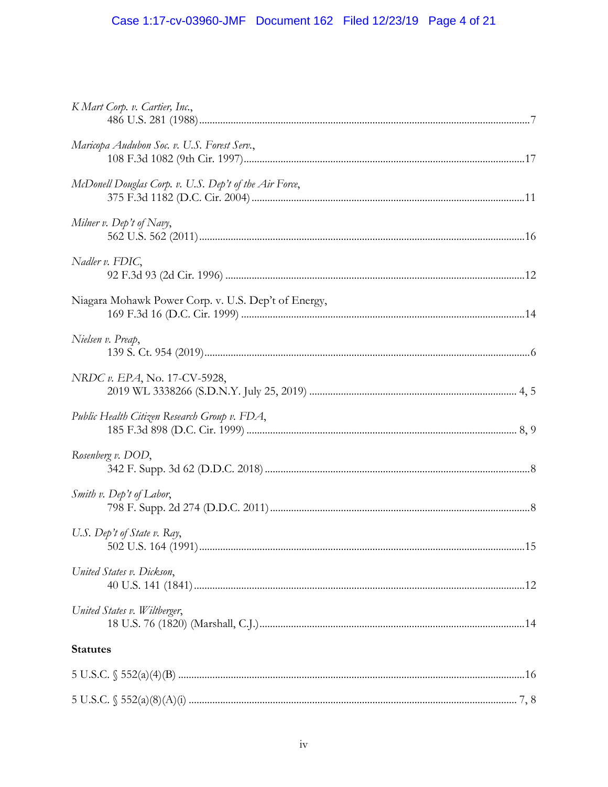# Case 1:17-cv-03960-JMF Document 162 Filed 12/23/19 Page 4 of 21

| K Mart Corp. v. Cartier, Inc.,                         |  |
|--------------------------------------------------------|--|
| Maricopa Audubon Soc. v. U.S. Forest Serv.,            |  |
| McDonell Douglas Corp. v. U.S. Dep't of the Air Force, |  |
| Milner v. Dep't of Navy,                               |  |
| $N$ adler v. FDIC,                                     |  |
| Niagara Mohawk Power Corp. v. U.S. Dep't of Energy,    |  |
| Nielsen v. Preap,                                      |  |
| NRDC v. EPA, No. 17-CV-5928,                           |  |
| Public Health Citizen Research Group v. FDA,           |  |
| Rosenberg v. DOD,                                      |  |
| <i>Smith v.</i> Dep't of Labor,                        |  |
| U.S. Dep't of State v. Ray,                            |  |
| United States v. Dickson,                              |  |
| United States v. Wiltberger,                           |  |
| <b>Statutes</b>                                        |  |
|                                                        |  |
|                                                        |  |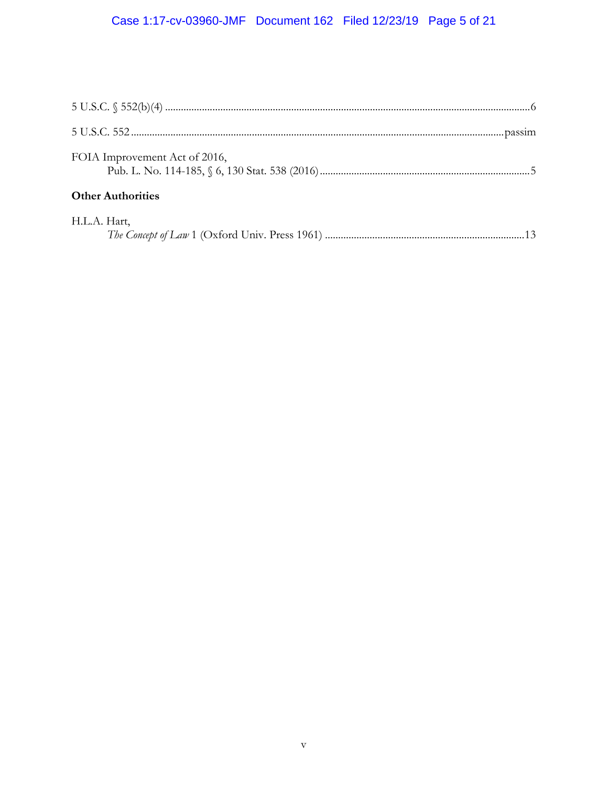# Case 1:17-cv-03960-JMF Document 162 Filed 12/23/19 Page 5 of 21

| FOIA Improvement Act of 2016, |  |
|-------------------------------|--|
| <b>Other Authorities</b>      |  |
| H.L.A. Hart,                  |  |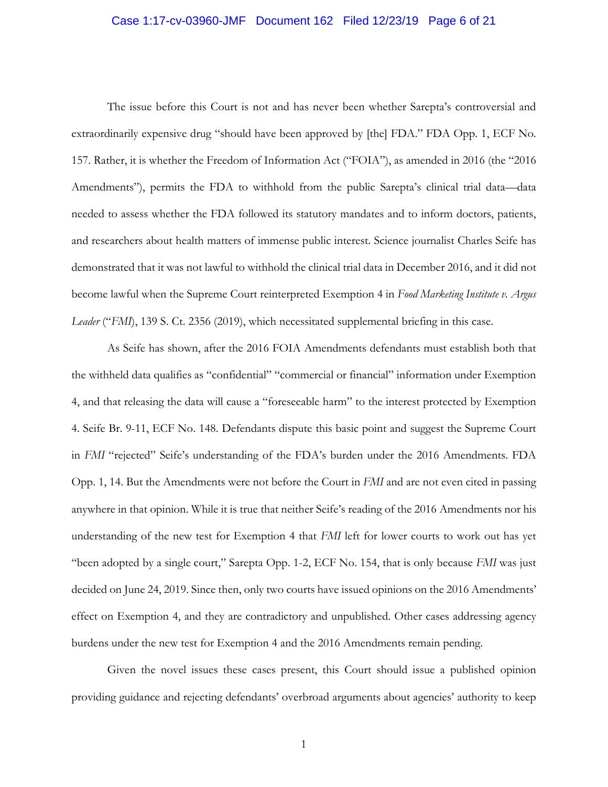#### Case 1:17-cv-03960-JMF Document 162 Filed 12/23/19 Page 6 of 21

The issue before this Court is not and has never been whether Sarepta's controversial and extraordinarily expensive drug "should have been approved by [the] FDA." FDA Opp. 1, ECF No. 157. Rather, it is whether the Freedom of Information Act ("FOIA"), as amended in 2016 (the "2016 Amendments"), permits the FDA to withhold from the public Sarepta's clinical trial data—data needed to assess whether the FDA followed its statutory mandates and to inform doctors, patients, and researchers about health matters of immense public interest. Science journalist Charles Seife has demonstrated that it was not lawful to withhold the clinical trial data in December 2016, and it did not become lawful when the Supreme Court reinterpreted Exemption 4 in *Food Marketing Institute v. Argus Leader* ("*FMI*), 139 S. Ct. 2356 (2019), which necessitated supplemental briefing in this case.

As Seife has shown, after the 2016 FOIA Amendments defendants must establish both that the withheld data qualifies as "confidential" "commercial or financial" information under Exemption 4, and that releasing the data will cause a "foreseeable harm" to the interest protected by Exemption 4. Seife Br. 9-11, ECF No. 148. Defendants dispute this basic point and suggest the Supreme Court in *FMI* "rejected" Seife's understanding of the FDA's burden under the 2016 Amendments. FDA Opp. 1, 14. But the Amendments were not before the Court in *FMI* and are not even cited in passing anywhere in that opinion. While it is true that neither Seife's reading of the 2016 Amendments nor his understanding of the new test for Exemption 4 that *FMI* left for lower courts to work out has yet "been adopted by a single court," Sarepta Opp. 1-2, ECF No. 154, that is only because *FMI* was just decided on June 24, 2019. Since then, only two courts have issued opinions on the 2016 Amendments' effect on Exemption 4, and they are contradictory and unpublished. Other cases addressing agency burdens under the new test for Exemption 4 and the 2016 Amendments remain pending.

Given the novel issues these cases present, this Court should issue a published opinion providing guidance and rejecting defendants' overbroad arguments about agencies' authority to keep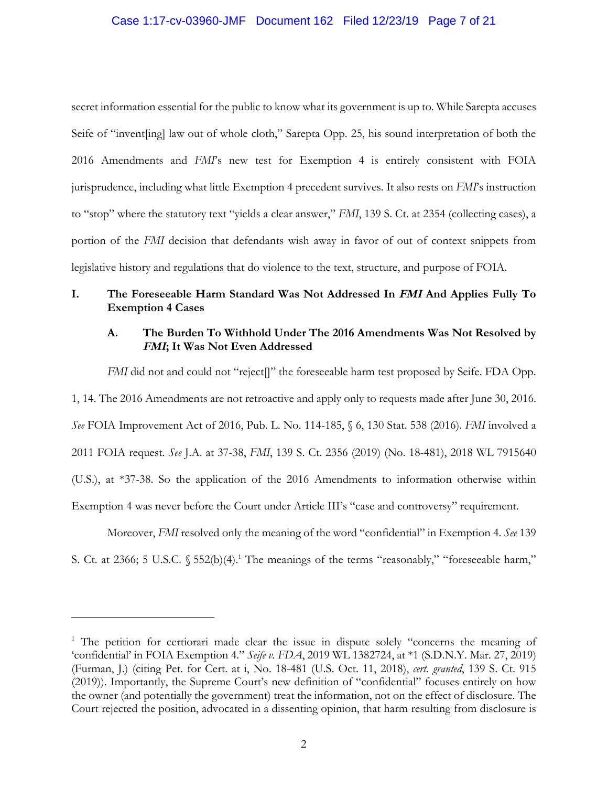### Case 1:17-cv-03960-JMF Document 162 Filed 12/23/19 Page 7 of 21

secret information essential for the public to know what its government is up to. While Sarepta accuses Seife of "invent[ing] law out of whole cloth," Sarepta Opp. 25, his sound interpretation of both the 2016 Amendments and *FMI*'s new test for Exemption 4 is entirely consistent with FOIA jurisprudence, including what little Exemption 4 precedent survives. It also rests on *FMI*'s instruction to "stop" where the statutory text "yields a clear answer," *FMI*, 139 S. Ct. at 2354 (collecting cases), a portion of the *FMI* decision that defendants wish away in favor of out of context snippets from legislative history and regulations that do violence to the text, structure, and purpose of FOIA.

## **I. The Foreseeable Harm Standard Was Not Addressed In FMI And Applies Fully To Exemption 4 Cases**

## **A. The Burden To Withhold Under The 2016 Amendments Was Not Resolved by FMI; It Was Not Even Addressed**

*FMI* did not and could not "reject]]" the foreseeable harm test proposed by Seife. FDA Opp. 1, 14. The 2016 Amendments are not retroactive and apply only to requests made after June 30, 2016. *See* FOIA Improvement Act of 2016, Pub. L. No. 114-185, § 6, 130 Stat. 538 (2016). *FMI* involved a 2011 FOIA request. *See* J.A. at 37-38, *FMI*, 139 S. Ct. 2356 (2019) (No. 18-481), 2018 WL 7915640 (U.S.), at \*37-38. So the application of the 2016 Amendments to information otherwise within Exemption 4 was never before the Court under Article III's "case and controversy" requirement.

Moreover, *FMI* resolved only the meaning of the word "confidential" in Exemption 4. *See* 139 S. Ct. at 2366; 5 U.S.C.  $\S 552(b)(4)$ .<sup>1</sup> The meanings of the terms "reasonably," "foreseeable harm,"

<sup>&</sup>lt;sup>1</sup> The petition for certiorari made clear the issue in dispute solely "concerns the meaning of 'confidential' in FOIA Exemption 4." *Seife v. FDA*, 2019 WL 1382724, at \*1 (S.D.N.Y. Mar. 27, 2019) (Furman, J.) (citing Pet. for Cert. at i, No. 18-481 (U.S. Oct. 11, 2018), *cert. granted*, 139 S. Ct. 915 (2019)). Importantly, the Supreme Court's new definition of "confidential" focuses entirely on how the owner (and potentially the government) treat the information, not on the effect of disclosure. The Court rejected the position, advocated in a dissenting opinion, that harm resulting from disclosure is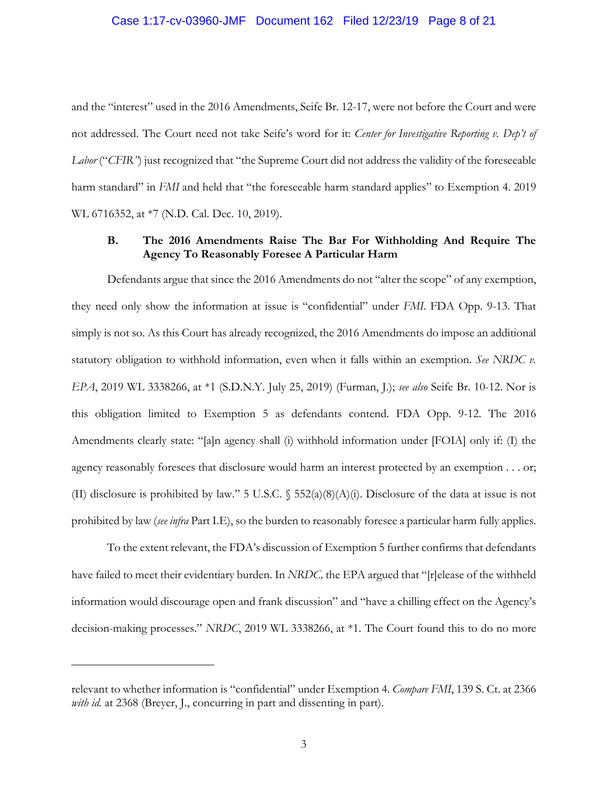#### Case 1:17-cv-03960-JMF Document 162 Filed 12/23/19 Page 8 of 21

and the "interest" used in the 2016 Amendments, Seife Br. 12-17, were not before the Court and were not addressed. The Court need not take Seife's word for it: *Center for Investigative Reporting v. Dep't of Labor* ("*CFIR*") just recognized that "the Supreme Court did not address the validity of the foreseeable harm standard" in *FMI* and held that "the foreseeable harm standard applies" to Exemption 4. 2019 WL 6716352, at \*7 (N.D. Cal. Dec. 10, 2019).

## **B. The 2016 Amendments Raise The Bar For Withholding And Require The Agency To Reasonably Foresee A Particular Harm**

Defendants argue that since the 2016 Amendments do not "alter the scope" of any exemption, they need only show the information at issue is "confidential" under *FMI*. FDA Opp. 9-13. That simply is not so. As this Court has already recognized, the 2016 Amendments do impose an additional statutory obligation to withhold information, even when it falls within an exemption. *See NRDC v. EPA*, 2019 WL 3338266, at \*1 (S.D.N.Y. July 25, 2019) (Furman, J.); *see also* Seife Br. 10-12. Nor is this obligation limited to Exemption 5 as defendants contend. FDA Opp. 9-12. The 2016 Amendments clearly state: "[a]n agency shall (i) withhold information under [FOIA] only if: (I) the agency reasonably foresees that disclosure would harm an interest protected by an exemption . . . or; (II) disclosure is prohibited by law." 5 U.S.C.  $\S$  552(a)(8)(A)(i). Disclosure of the data at issue is not prohibited by law (*see infra* Part I.E), so the burden to reasonably foresee a particular harm fully applies.

To the extent relevant, the FDA's discussion of Exemption 5 further confirms that defendants have failed to meet their evidentiary burden. In *NRDC,* the EPA argued that "[r]elease of the withheld information would discourage open and frank discussion" and "have a chilling effect on the Agency's decision-making processes." *NRDC*, 2019 WL 3338266, at \*1. The Court found this to do no more

relevant to whether information is "confidential" under Exemption 4. *Compare FMI*, 139 S. Ct. at 2366 *with id.* at 2368 (Breyer, J., concurring in part and dissenting in part).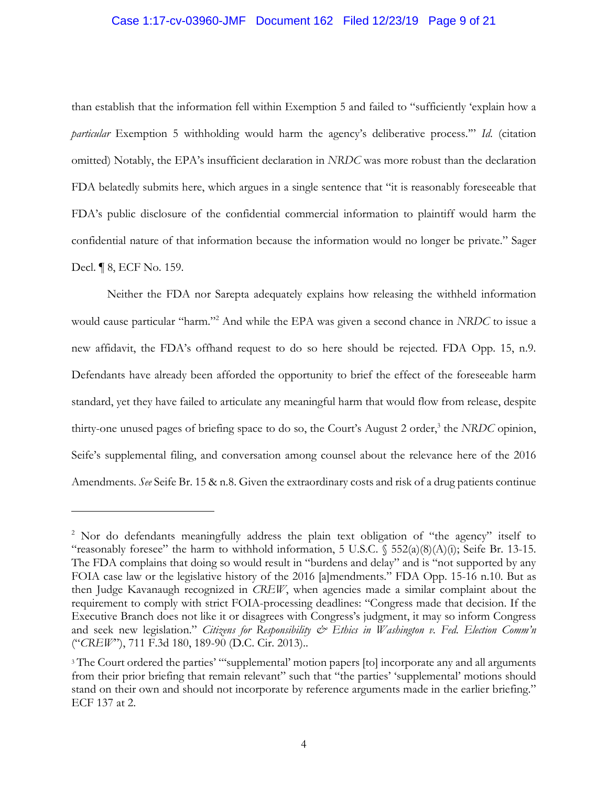#### Case 1:17-cv-03960-JMF Document 162 Filed 12/23/19 Page 9 of 21

than establish that the information fell within Exemption 5 and failed to "sufficiently 'explain how a *particular* Exemption 5 withholding would harm the agency's deliberative process.'" *Id*. (citation omitted) Notably, the EPA's insufficient declaration in *NRDC* was more robust than the declaration FDA belatedly submits here, which argues in a single sentence that "it is reasonably foreseeable that FDA's public disclosure of the confidential commercial information to plaintiff would harm the confidential nature of that information because the information would no longer be private." Sager Decl. ¶ 8, ECF No. 159.

Neither the FDA nor Sarepta adequately explains how releasing the withheld information would cause particular "harm."<sup>2</sup> And while the EPA was given a second chance in *NRDC* to issue a new affidavit, the FDA's offhand request to do so here should be rejected. FDA Opp. 15, n.9. Defendants have already been afforded the opportunity to brief the effect of the foreseeable harm standard, yet they have failed to articulate any meaningful harm that would flow from release, despite thirty-one unused pages of briefing space to do so, the Court's August 2 order,<sup>3</sup> the *NRDC* opinion, Seife's supplemental filing, and conversation among counsel about the relevance here of the 2016 Amendments. *See* Seife Br. 15 & n.8. Given the extraordinary costs and risk of a drug patients continue

<sup>&</sup>lt;sup>2</sup> Nor do defendants meaningfully address the plain text obligation of "the agency" itself to "reasonably foresee" the harm to withhold information, 5 U.S.C. § 552(a)(8)(A)(i); Seife Br. 13-15. The FDA complains that doing so would result in "burdens and delay" and is "not supported by any FOIA case law or the legislative history of the 2016 [a]mendments." FDA Opp. 15-16 n.10. But as then Judge Kavanaugh recognized in *CREW*, when agencies made a similar complaint about the requirement to comply with strict FOIA-processing deadlines: "Congress made that decision. If the Executive Branch does not like it or disagrees with Congress's judgment, it may so inform Congress and seek new legislation." *Citizens for Responsibility & Ethics in Washington v. Fed. Election Comm'n* ("*CREW*"), 711 F.3d 180, 189-90 (D.C. Cir. 2013)..

<sup>&</sup>lt;sup>3</sup> The Court ordered the parties' ""supplemental' motion papers [to] incorporate any and all arguments from their prior briefing that remain relevant" such that "the parties' 'supplemental' motions should stand on their own and should not incorporate by reference arguments made in the earlier briefing." ECF 137 at 2.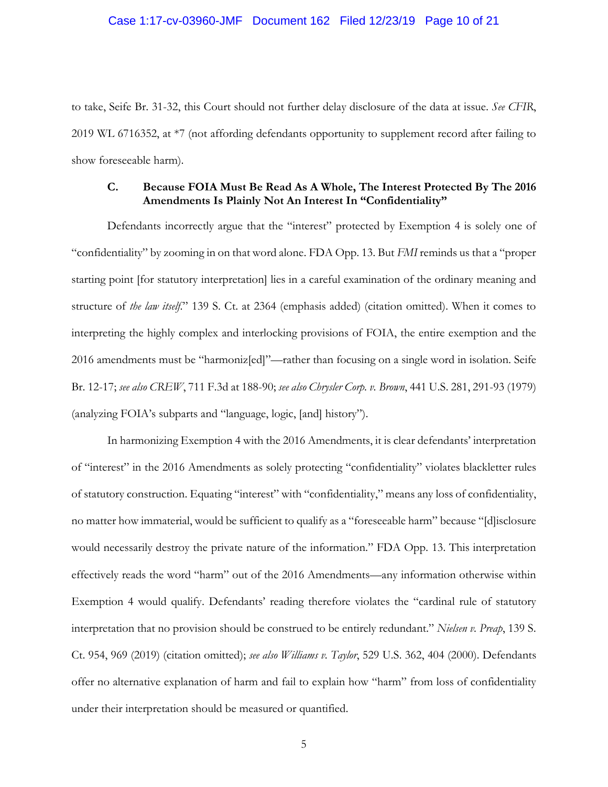#### Case 1:17-cv-03960-JMF Document 162 Filed 12/23/19 Page 10 of 21

to take, Seife Br. 31-32, this Court should not further delay disclosure of the data at issue. *See CFIR*, 2019 WL 6716352, at \*7 (not affording defendants opportunity to supplement record after failing to show foreseeable harm).

## **C. Because FOIA Must Be Read As A Whole, The Interest Protected By The 2016 Amendments Is Plainly Not An Interest In "Confidentiality"**

Defendants incorrectly argue that the "interest" protected by Exemption 4 is solely one of "confidentiality" by zooming in on that word alone. FDA Opp. 13. But *FMI* reminds us that a "proper starting point [for statutory interpretation] lies in a careful examination of the ordinary meaning and structure of *the law itself*." 139 S. Ct. at 2364 (emphasis added) (citation omitted). When it comes to interpreting the highly complex and interlocking provisions of FOIA, the entire exemption and the 2016 amendments must be "harmoniz[ed]"—rather than focusing on a single word in isolation. Seife Br. 12-17; *see also CREW*, 711 F.3d at 188-90; *see also Chrysler Corp. v. Brown*, 441 U.S. 281, 291-93 (1979) (analyzing FOIA's subparts and "language, logic, [and] history").

In harmonizing Exemption 4 with the 2016 Amendments, it is clear defendants' interpretation of "interest" in the 2016 Amendments as solely protecting "confidentiality" violates blackletter rules of statutory construction. Equating "interest" with "confidentiality," means any loss of confidentiality, no matter how immaterial, would be sufficient to qualify as a "foreseeable harm" because "[d]isclosure would necessarily destroy the private nature of the information." FDA Opp. 13. This interpretation effectively reads the word "harm" out of the 2016 Amendments—any information otherwise within Exemption 4 would qualify. Defendants' reading therefore violates the "cardinal rule of statutory interpretation that no provision should be construed to be entirely redundant." *Nielsen v. Preap*, 139 S. Ct. 954, 969 (2019) (citation omitted); *see also Williams v. Taylor*, 529 U.S. 362, 404 (2000). Defendants offer no alternative explanation of harm and fail to explain how "harm" from loss of confidentiality under their interpretation should be measured or quantified.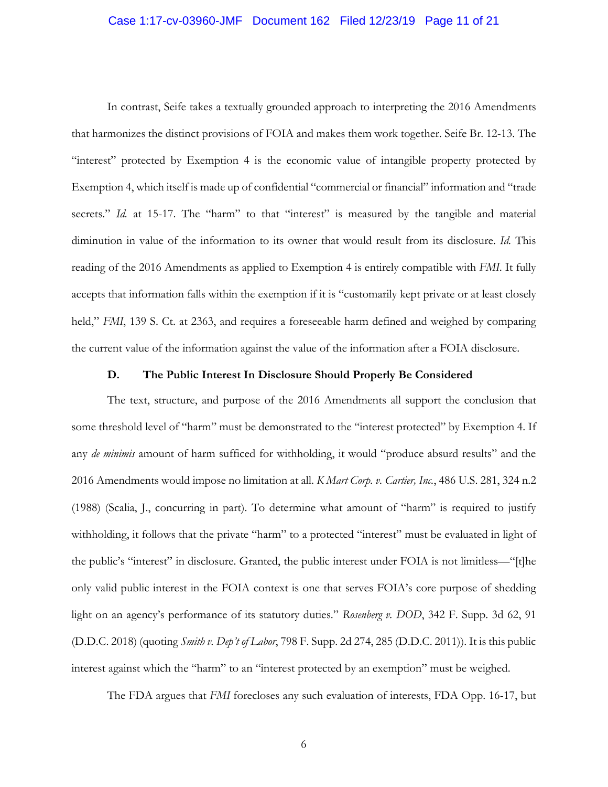#### Case 1:17-cv-03960-JMF Document 162 Filed 12/23/19 Page 11 of 21

In contrast, Seife takes a textually grounded approach to interpreting the 2016 Amendments that harmonizes the distinct provisions of FOIA and makes them work together. Seife Br. 12-13. The "interest" protected by Exemption 4 is the economic value of intangible property protected by Exemption 4, which itself is made up of confidential "commercial or financial" information and "trade secrets." *Id.* at 15-17. The "harm" to that "interest" is measured by the tangible and material diminution in value of the information to its owner that would result from its disclosure. *Id.* This reading of the 2016 Amendments as applied to Exemption 4 is entirely compatible with *FMI*. It fully accepts that information falls within the exemption if it is "customarily kept private or at least closely held," *FMI*, 139 S. Ct. at 2363, and requires a foreseeable harm defined and weighed by comparing the current value of the information against the value of the information after a FOIA disclosure.

#### **D. The Public Interest In Disclosure Should Properly Be Considered**

The text, structure, and purpose of the 2016 Amendments all support the conclusion that some threshold level of "harm" must be demonstrated to the "interest protected" by Exemption 4. If any *de minimis* amount of harm sufficed for withholding, it would "produce absurd results" and the 2016 Amendments would impose no limitation at all. *K Mart Corp. v. Cartier, Inc.*, 486 U.S. 281, 324 n.2 (1988) (Scalia, J., concurring in part). To determine what amount of "harm" is required to justify withholding, it follows that the private "harm" to a protected "interest" must be evaluated in light of the public's "interest" in disclosure. Granted, the public interest under FOIA is not limitless—"[t]he only valid public interest in the FOIA context is one that serves FOIA's core purpose of shedding light on an agency's performance of its statutory duties." *Rosenberg v. DOD*, 342 F. Supp. 3d 62, 91 (D.D.C. 2018) (quoting *Smith v. Dep't of Labor*, 798 F. Supp. 2d 274, 285 (D.D.C. 2011)). It is this public interest against which the "harm" to an "interest protected by an exemption" must be weighed.

The FDA argues that *FMI* forecloses any such evaluation of interests, FDA Opp. 16-17, but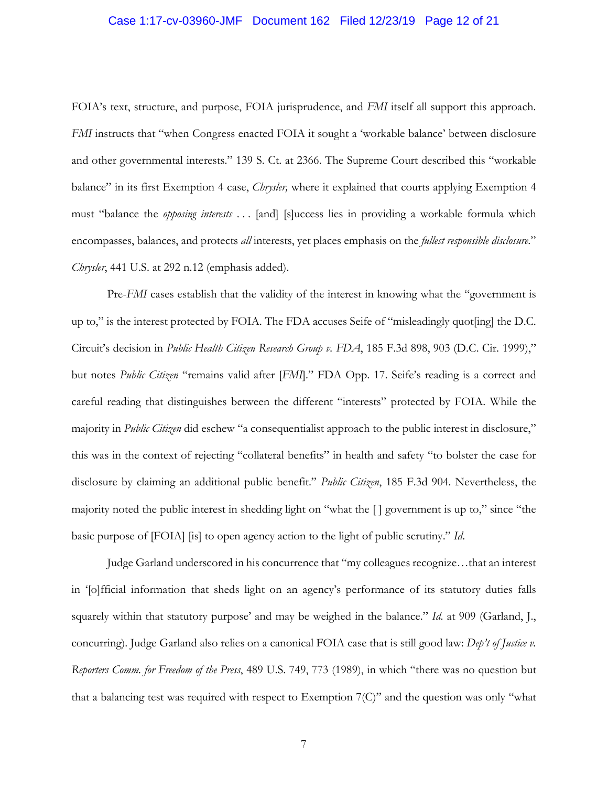#### Case 1:17-cv-03960-JMF Document 162 Filed 12/23/19 Page 12 of 21

FOIA's text, structure, and purpose, FOIA jurisprudence, and *FMI* itself all support this approach. *FMI* instructs that "when Congress enacted FOIA it sought a 'workable balance' between disclosure and other governmental interests." 139 S. Ct. at 2366. The Supreme Court described this "workable balance" in its first Exemption 4 case, *Chrysler,* where it explained that courts applying Exemption 4 must "balance the *opposing interests* . . . [and] [s]uccess lies in providing a workable formula which encompasses, balances, and protects *all* interests, yet places emphasis on the *fullest responsible disclosure*." *Chrysler*, 441 U.S. at 292 n.12 (emphasis added).

Pre-*FMI* cases establish that the validity of the interest in knowing what the "government is up to," is the interest protected by FOIA. The FDA accuses Seife of "misleadingly quot[ing] the D.C. Circuit's decision in *Public Health Citizen Research Group v. FDA*, 185 F.3d 898, 903 (D.C. Cir. 1999)," but notes *Public Citizen* "remains valid after [*FMI*]." FDA Opp. 17. Seife's reading is a correct and careful reading that distinguishes between the different "interests" protected by FOIA. While the majority in *Public Citizen* did eschew "a consequentialist approach to the public interest in disclosure," this was in the context of rejecting "collateral benefits" in health and safety "to bolster the case for disclosure by claiming an additional public benefit." *Public Citizen*, 185 F.3d 904. Nevertheless, the majority noted the public interest in shedding light on "what the [ ] government is up to," since "the basic purpose of [FOIA] [is] to open agency action to the light of public scrutiny." *Id*.

Judge Garland underscored in his concurrence that "my colleagues recognize…that an interest in '[o]fficial information that sheds light on an agency's performance of its statutory duties falls squarely within that statutory purpose' and may be weighed in the balance." *Id*. at 909 (Garland, J., concurring). Judge Garland also relies on a canonical FOIA case that is still good law: *Dep't of Justice v. Reporters Comm. for Freedom of the Press*, 489 U.S. 749, 773 (1989), in which "there was no question but that a balancing test was required with respect to Exemption 7(C)" and the question was only "what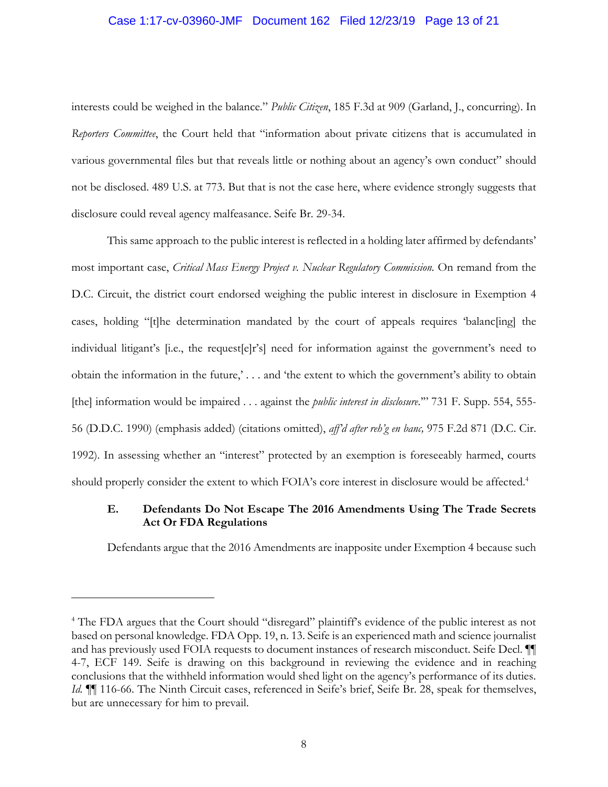#### Case 1:17-cv-03960-JMF Document 162 Filed 12/23/19 Page 13 of 21

interests could be weighed in the balance." *Public Citizen*, 185 F.3d at 909 (Garland, J., concurring). In *Reporters Committee*, the Court held that "information about private citizens that is accumulated in various governmental files but that reveals little or nothing about an agency's own conduct" should not be disclosed. 489 U.S. at 773. But that is not the case here, where evidence strongly suggests that disclosure could reveal agency malfeasance. Seife Br. 29-34.

This same approach to the public interest is reflected in a holding later affirmed by defendants' most important case, *Critical Mass Energy Project v. Nuclear Regulatory Commission.* On remand from the D.C. Circuit, the district court endorsed weighing the public interest in disclosure in Exemption 4 cases, holding "[t]he determination mandated by the court of appeals requires 'balanc[ing] the individual litigant's [i.e., the request[e]r's] need for information against the government's need to obtain the information in the future,' *. . .* and 'the extent to which the government's ability to obtain [the] information would be impaired . . . against the *public interest in disclosure*.'" 731 F. Supp. 554, 555- 56 (D.D.C. 1990) (emphasis added) (citations omitted), *aff'd after reh'g en banc,* 975 F.2d 871 (D.C. Cir. 1992). In assessing whether an "interest" protected by an exemption is foreseeably harmed, courts should properly consider the extent to which FOIA's core interest in disclosure would be affected.<sup>4</sup>

## **E. Defendants Do Not Escape The 2016 Amendments Using The Trade Secrets Act Or FDA Regulations**

Defendants argue that the 2016 Amendments are inapposite under Exemption 4 because such

<sup>&</sup>lt;sup>4</sup> The FDA argues that the Court should "disregard" plaintiff's evidence of the public interest as not based on personal knowledge. FDA Opp. 19, n. 13. Seife is an experienced math and science journalist and has previously used FOIA requests to document instances of research misconduct. Seife Decl. ¶¶ 4-7, ECF 149. Seife is drawing on this background in reviewing the evidence and in reaching conclusions that the withheld information would shed light on the agency's performance of its duties. *Id.*  $\P$  116-66. The Ninth Circuit cases, referenced in Seife's brief, Seife Br. 28, speak for themselves, but are unnecessary for him to prevail.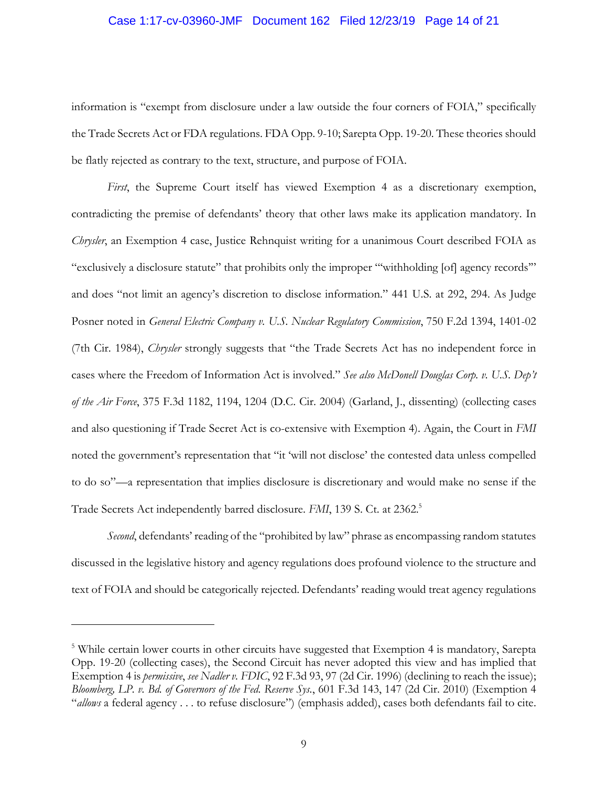#### Case 1:17-cv-03960-JMF Document 162 Filed 12/23/19 Page 14 of 21

information is "exempt from disclosure under a law outside the four corners of FOIA," specifically the Trade Secrets Act or FDA regulations. FDA Opp. 9-10; Sarepta Opp. 19-20. These theories should be flatly rejected as contrary to the text, structure, and purpose of FOIA.

*First*, the Supreme Court itself has viewed Exemption 4 as a discretionary exemption, contradicting the premise of defendants' theory that other laws make its application mandatory. In *Chrysler*, an Exemption 4 case, Justice Rehnquist writing for a unanimous Court described FOIA as "exclusively a disclosure statute" that prohibits only the improper "'withholding [of] agency records'" and does "not limit an agency's discretion to disclose information." 441 U.S. at 292, 294. As Judge Posner noted in *General Electric Company v. U.S. Nuclear Regulatory Commission*, 750 F.2d 1394, 1401-02 (7th Cir. 1984), *Chrysler* strongly suggests that "the Trade Secrets Act has no independent force in cases where the Freedom of Information Act is involved." *See also McDonell Douglas Corp. v. U.S. Dep't of the Air Force*, 375 F.3d 1182, 1194, 1204 (D.C. Cir. 2004) (Garland, J., dissenting) (collecting cases and also questioning if Trade Secret Act is co-extensive with Exemption 4). Again, the Court in *FMI* noted the government's representation that "it 'will not disclose' the contested data unless compelled to do so"—a representation that implies disclosure is discretionary and would make no sense if the Trade Secrets Act independently barred disclosure. *FMI*, 139 S. Ct. at 2362.<sup>5</sup>

*Second*, defendants' reading of the "prohibited by law" phrase as encompassing random statutes discussed in the legislative history and agency regulations does profound violence to the structure and text of FOIA and should be categorically rejected. Defendants' reading would treat agency regulations

<sup>&</sup>lt;sup>5</sup> While certain lower courts in other circuits have suggested that Exemption 4 is mandatory, Sarepta Opp. 19-20 (collecting cases), the Second Circuit has never adopted this view and has implied that Exemption 4 is *permissive*, *see Nadler v. FDIC*, 92 F.3d 93, 97 (2d Cir. 1996) (declining to reach the issue); *Bloomberg, LP. v. Bd. of Governors of the Fed. Reserve Sys.*, 601 F.3d 143, 147 (2d Cir. 2010) (Exemption 4 "*allows* a federal agency . . . to refuse disclosure") (emphasis added), cases both defendants fail to cite.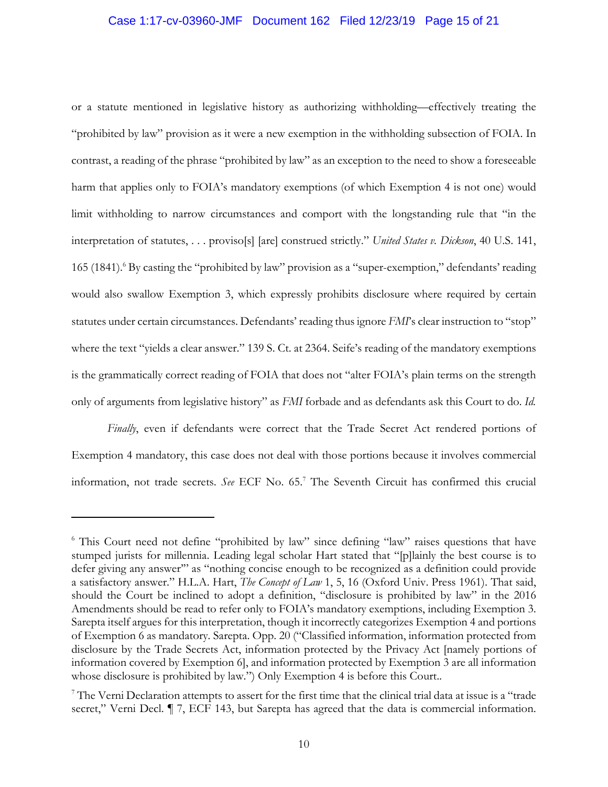#### Case 1:17-cv-03960-JMF Document 162 Filed 12/23/19 Page 15 of 21

or a statute mentioned in legislative history as authorizing withholding—effectively treating the "prohibited by law" provision as it were a new exemption in the withholding subsection of FOIA. In contrast, a reading of the phrase "prohibited by law" as an exception to the need to show a foreseeable harm that applies only to FOIA's mandatory exemptions (of which Exemption 4 is not one) would limit withholding to narrow circumstances and comport with the longstanding rule that "in the interpretation of statutes, . . . proviso[s] [are] construed strictly." *United States v. Dickson*, 40 U.S. 141, 165 (1841).<sup>6</sup> By casting the "prohibited by law" provision as a "super-exemption," defendants' reading would also swallow Exemption 3, which expressly prohibits disclosure where required by certain statutes under certain circumstances. Defendants' reading thus ignore *FMI*'s clear instruction to "stop" where the text "yields a clear answer." 139 S. Ct. at 2364. Seife's reading of the mandatory exemptions is the grammatically correct reading of FOIA that does not "alter FOIA's plain terms on the strength only of arguments from legislative history" as *FMI* forbade and as defendants ask this Court to do. *Id.*

*Finally*, even if defendants were correct that the Trade Secret Act rendered portions of Exemption 4 mandatory, this case does not deal with those portions because it involves commercial information, not trade secrets. *See* ECF No. 65.<sup>7</sup> The Seventh Circuit has confirmed this crucial

<sup>&</sup>lt;sup>6</sup> This Court need not define "prohibited by law" since defining "law" raises questions that have stumped jurists for millennia. Leading legal scholar Hart stated that "[p]lainly the best course is to defer giving any answer'" as "nothing concise enough to be recognized as a definition could provide a satisfactory answer." H.L.A. Hart, *The Concept of Law* 1, 5, 16 (Oxford Univ. Press 1961). That said, should the Court be inclined to adopt a definition, "disclosure is prohibited by law" in the 2016 Amendments should be read to refer only to FOIA's mandatory exemptions, including Exemption 3. Sarepta itself argues for this interpretation, though it incorrectly categorizes Exemption 4 and portions of Exemption 6 as mandatory*.* Sarepta. Opp. 20 ("Classified information, information protected from disclosure by the Trade Secrets Act, information protected by the Privacy Act [namely portions of information covered by Exemption 6], and information protected by Exemption 3 are all information whose disclosure is prohibited by law.") Only Exemption 4 is before this Court..

<sup>&</sup>lt;sup>7</sup> The Verni Declaration attempts to assert for the first time that the clinical trial data at issue is a "trade" secret," Verni Decl. *¶* 7, ECF 143, but Sarepta has agreed that the data is commercial information.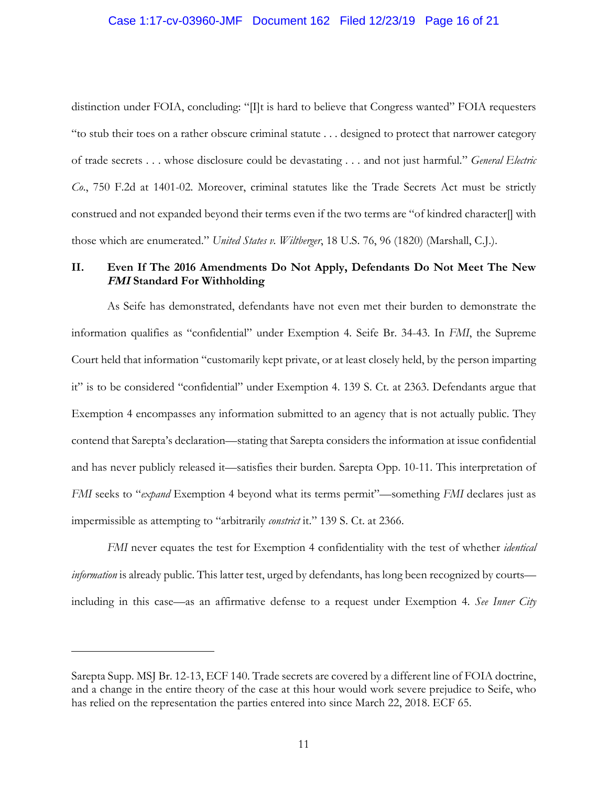#### Case 1:17-cv-03960-JMF Document 162 Filed 12/23/19 Page 16 of 21

distinction under FOIA, concluding: "[I]t is hard to believe that Congress wanted" FOIA requesters "to stub their toes on a rather obscure criminal statute . . . designed to protect that narrower category of trade secrets . . . whose disclosure could be devastating . . . and not just harmful." *General Electric Co*., 750 F.2d at 1401-02. Moreover, criminal statutes like the Trade Secrets Act must be strictly construed and not expanded beyond their terms even if the two terms are "of kindred character[] with those which are enumerated." *United States v. Wiltberger*, 18 U.S. 76, 96 (1820) (Marshall, C.J.).

## **II. Even If The 2016 Amendments Do Not Apply, Defendants Do Not Meet The New FMI Standard For Withholding**

As Seife has demonstrated, defendants have not even met their burden to demonstrate the information qualifies as "confidential" under Exemption 4*.* Seife Br. 34-43. In *FMI*, the Supreme Court held that information "customarily kept private, or at least closely held, by the person imparting it" is to be considered "confidential" under Exemption 4. 139 S. Ct. at 2363. Defendants argue that Exemption 4 encompasses any information submitted to an agency that is not actually public. They contend that Sarepta's declaration—stating that Sarepta considers the information at issue confidential and has never publicly released it—satisfies their burden. Sarepta Opp. 10-11. This interpretation of *FMI* seeks to "*expand* Exemption 4 beyond what its terms permit"—something *FMI* declares just as impermissible as attempting to "arbitrarily *constrict* it." 139 S. Ct. at 2366.

*FMI* never equates the test for Exemption 4 confidentiality with the test of whether *identical information* is already public. This latter test, urged by defendants, has long been recognized by courts including in this case—as an affirmative defense to a request under Exemption 4. *See Inner City* 

Sarepta Supp. MSJ Br. 12-13, ECF 140. Trade secrets are covered by a different line of FOIA doctrine, and a change in the entire theory of the case at this hour would work severe prejudice to Seife, who has relied on the representation the parties entered into since March 22, 2018. ECF 65.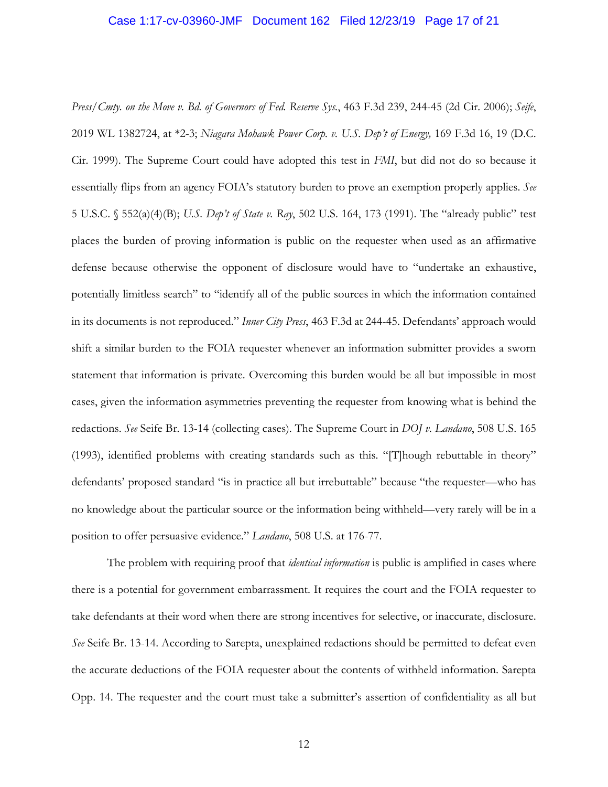#### Case 1:17-cv-03960-JMF Document 162 Filed 12/23/19 Page 17 of 21

*Press/Cmty. on the Move v. Bd. of Governors of Fed. Reserve Sys.*, 463 F.3d 239, 244-45 (2d Cir. 2006); *Seife*, 2019 WL 1382724, at \*2-3; *Niagara Mohawk Power Corp. v. U.S. Dep't of Energy,* 169 F.3d 16, 19 (D.C. Cir. 1999). The Supreme Court could have adopted this test in *FMI*, but did not do so because it essentially flips from an agency FOIA's statutory burden to prove an exemption properly applies. *See* 5 U.S.C. § 552(a)(4)(B); *U.S. Dep't of State v. Ray*, 502 U.S. 164, 173 (1991). The "already public" test places the burden of proving information is public on the requester when used as an affirmative defense because otherwise the opponent of disclosure would have to "undertake an exhaustive, potentially limitless search" to "identify all of the public sources in which the information contained in its documents is not reproduced." *Inner City Press*, 463 F.3d at 244-45. Defendants' approach would shift a similar burden to the FOIA requester whenever an information submitter provides a sworn statement that information is private. Overcoming this burden would be all but impossible in most cases, given the information asymmetries preventing the requester from knowing what is behind the redactions. *See* Seife Br. 13-14 (collecting cases). The Supreme Court in *DOJ v. Landano*, 508 U.S. 165 (1993), identified problems with creating standards such as this. "[T]hough rebuttable in theory" defendants' proposed standard "is in practice all but irrebuttable" because "the requester—who has no knowledge about the particular source or the information being withheld—very rarely will be in a position to offer persuasive evidence." *Landano*, 508 U.S. at 176-77.

The problem with requiring proof that *identical information* is public is amplified in cases where there is a potential for government embarrassment. It requires the court and the FOIA requester to take defendants at their word when there are strong incentives for selective, or inaccurate, disclosure. *See* Seife Br. 13-14. According to Sarepta, unexplained redactions should be permitted to defeat even the accurate deductions of the FOIA requester about the contents of withheld information. Sarepta Opp. 14. The requester and the court must take a submitter's assertion of confidentiality as all but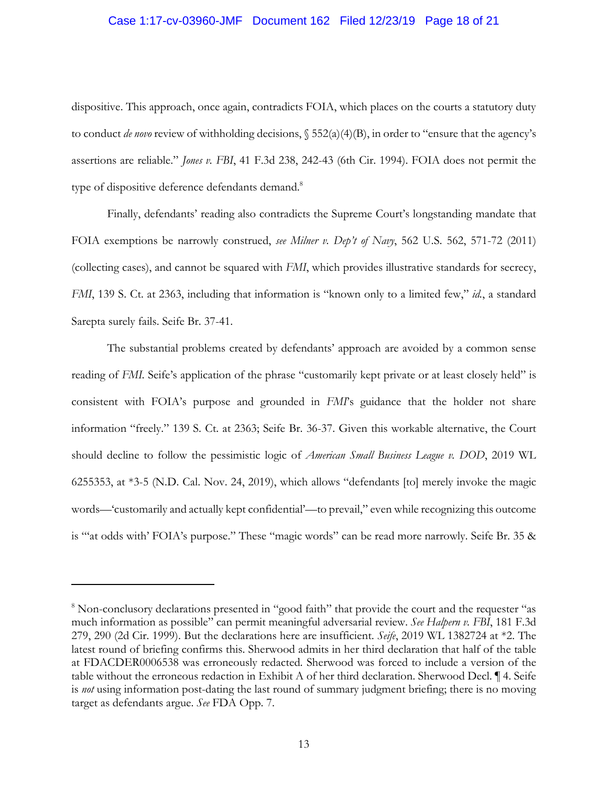#### Case 1:17-cv-03960-JMF Document 162 Filed 12/23/19 Page 18 of 21

dispositive. This approach, once again, contradicts FOIA, which places on the courts a statutory duty to conduct *de novo* review of withholding decisions, § 552(a)(4)(B), in order to "ensure that the agency's assertions are reliable." *Jones v. FBI*, 41 F.3d 238, 242-43 (6th Cir. 1994). FOIA does not permit the type of dispositive deference defendants demand.<sup>8</sup>

Finally, defendants' reading also contradicts the Supreme Court's longstanding mandate that FOIA exemptions be narrowly construed, *see Milner v. Dep't of Navy*, 562 U.S. 562, 571-72 (2011) (collecting cases), and cannot be squared with *FMI*, which provides illustrative standards for secrecy, *FMI*, 139 S. Ct. at 2363, including that information is "known only to a limited few," *id.*, a standard Sarepta surely fails. Seife Br. 37-41.

The substantial problems created by defendants' approach are avoided by a common sense reading of *FMI.* Seife's application of the phrase "customarily kept private or at least closely held" is consistent with FOIA's purpose and grounded in *FMI*'s guidance that the holder not share information "freely." 139 S. Ct. at 2363; Seife Br. 36-37. Given this workable alternative, the Court should decline to follow the pessimistic logic of *American Small Business League v. DOD*, 2019 WL 6255353, at \*3-5 (N.D. Cal. Nov. 24, 2019), which allows "defendants [to] merely invoke the magic words—'customarily and actually kept confidential'—to prevail," even while recognizing this outcome is "'at odds with' FOIA's purpose." These "magic words" can be read more narrowly. Seife Br. 35 &

<sup>&</sup>lt;sup>8</sup> Non-conclusory declarations presented in "good faith" that provide the court and the requester "as much information as possible" can permit meaningful adversarial review. *See Halpern v. FBI*, 181 F.3d 279, 290 (2d Cir. 1999). But the declarations here are insufficient. *Seife*, 2019 WL 1382724 at \*2. The latest round of briefing confirms this. Sherwood admits in her third declaration that half of the table at FDACDER0006538 was erroneously redacted. Sherwood was forced to include a version of the table without the erroneous redaction in Exhibit A of her third declaration. Sherwood Decl. ¶ 4. Seife is *not* using information post-dating the last round of summary judgment briefing; there is no moving target as defendants argue. *See* FDA Opp. 7.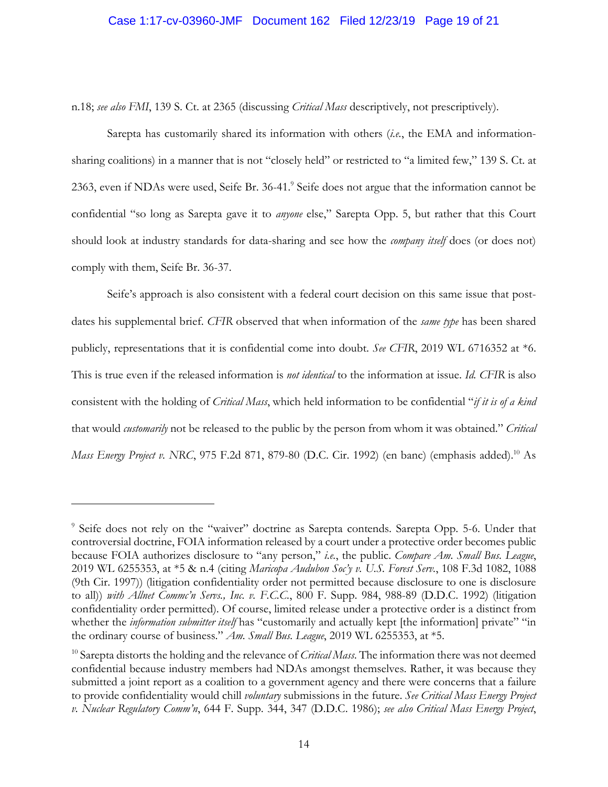#### Case 1:17-cv-03960-JMF Document 162 Filed 12/23/19 Page 19 of 21

n.18; *see also FMI*, 139 S. Ct. at 2365 (discussing *Critical Mass* descriptively, not prescriptively).

Sarepta has customarily shared its information with others (*i.e.*, the EMA and informationsharing coalitions) in a manner that is not "closely held" or restricted to "a limited few," 139 S. Ct. at 2363, even if NDAs were used, Seife Br. 36-41.<sup>9</sup> Seife does not argue that the information cannot be confidential "so long as Sarepta gave it to *anyone* else," Sarepta Opp. 5, but rather that this Court should look at industry standards for data-sharing and see how the *company itself* does (or does not) comply with them, Seife Br. 36-37.

Seife's approach is also consistent with a federal court decision on this same issue that postdates his supplemental brief. *CFIR* observed that when information of the *same type* has been shared publicly, representations that it is confidential come into doubt. *See CFIR*, 2019 WL 6716352 at \*6. This is true even if the released information is *not identical* to the information at issue. *Id. CFIR* is also consistent with the holding of *Critical Mass*, which held information to be confidential "*if it is of a kind* that would *customarily* not be released to the public by the person from whom it was obtained." *Critical Mass Energy Project v. NRC*, 975 F.2d 871, 879-80 (D.C. Cir. 1992) (en banc) (emphasis added).<sup>10</sup> As

<sup>&</sup>lt;sup>9</sup> Seife does not rely on the "waiver" doctrine as Sarepta contends. Sarepta Opp. 5-6. Under that controversial doctrine, FOIA information released by a court under a protective order becomes public because FOIA authorizes disclosure to "any person," *i.e.*, the public. *Compare Am. Small Bus. League*, 2019 WL 6255353, at \*5 & n.4 (citing *Maricopa Audubon Soc'y v. U.S. Forest Serv.*, 108 F.3d 1082, 1088 (9th Cir. 1997)) (litigation confidentiality order not permitted because disclosure to one is disclosure to all)) *with Allnet Commc'n Servs., Inc. v. F.C.C.*, 800 F. Supp. 984, 988-89 (D.D.C. 1992) (litigation confidentiality order permitted). Of course, limited release under a protective order is a distinct from whether the *information submitter itself* has "customarily and actually kept [the information] private" "in the ordinary course of business." *Am. Small Bus. League*, 2019 WL 6255353, at \*5.

<sup>10</sup> Sarepta distorts the holding and the relevance of *Critical Mass*. The information there was not deemed confidential because industry members had NDAs amongst themselves. Rather, it was because they submitted a joint report as a coalition to a government agency and there were concerns that a failure to provide confidentiality would chill *voluntary* submissions in the future. *See Critical Mass Energy Project v. Nuclear Regulatory Comm'n*, 644 F. Supp. 344, 347 (D.D.C. 1986); *see also Critical Mass Energy Project*,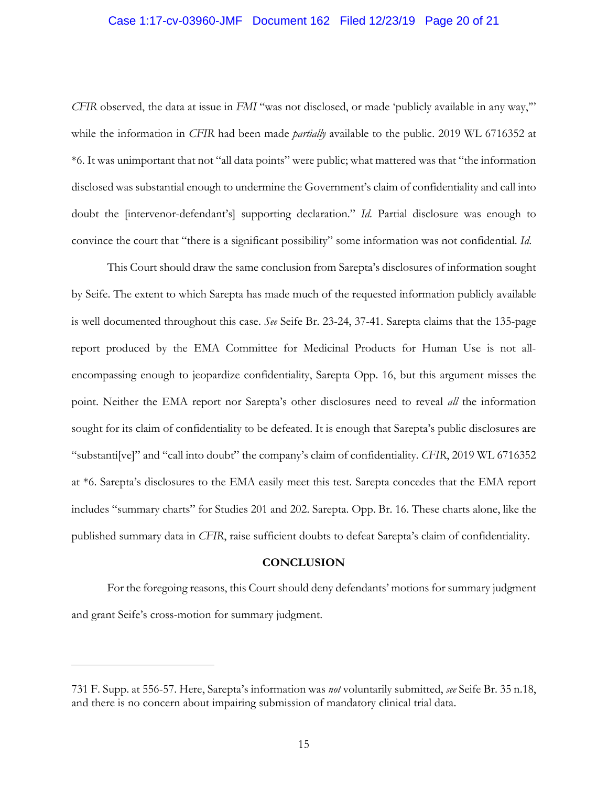#### Case 1:17-cv-03960-JMF Document 162 Filed 12/23/19 Page 20 of 21

*CFIR* observed, the data at issue in *FMI* "was not disclosed, or made 'publicly available in any way,'" while the information in *CFIR* had been made *partially* available to the public. 2019 WL 6716352 at \*6. It was unimportant that not "all data points" were public; what mattered was that "the information disclosed was substantial enough to undermine the Government's claim of confidentiality and call into doubt the [intervenor-defendant's] supporting declaration." *Id*. Partial disclosure was enough to convince the court that "there is a significant possibility" some information was not confidential. *Id*.

This Court should draw the same conclusion from Sarepta's disclosures of information sought by Seife. The extent to which Sarepta has made much of the requested information publicly available is well documented throughout this case. *See* Seife Br. 23-24, 37-41. Sarepta claims that the 135-page report produced by the EMA Committee for Medicinal Products for Human Use is not allencompassing enough to jeopardize confidentiality, Sarepta Opp. 16, but this argument misses the point. Neither the EMA report nor Sarepta's other disclosures need to reveal *all* the information sought for its claim of confidentiality to be defeated. It is enough that Sarepta's public disclosures are "substanti[ve]" and "call into doubt" the company's claim of confidentiality. *CFIR*, 2019 WL 6716352 at \*6. Sarepta's disclosures to the EMA easily meet this test. Sarepta concedes that the EMA report includes "summary charts" for Studies 201 and 202. Sarepta. Opp. Br. 16. These charts alone, like the published summary data in *CFIR*, raise sufficient doubts to defeat Sarepta's claim of confidentiality.

#### **CONCLUSION**

For the foregoing reasons, this Court should deny defendants' motions for summary judgment and grant Seife's cross-motion for summary judgment.

<sup>731</sup> F. Supp. at 556-57. Here, Sarepta's information was *not* voluntarily submitted, *see* Seife Br. 35 n.18, and there is no concern about impairing submission of mandatory clinical trial data.